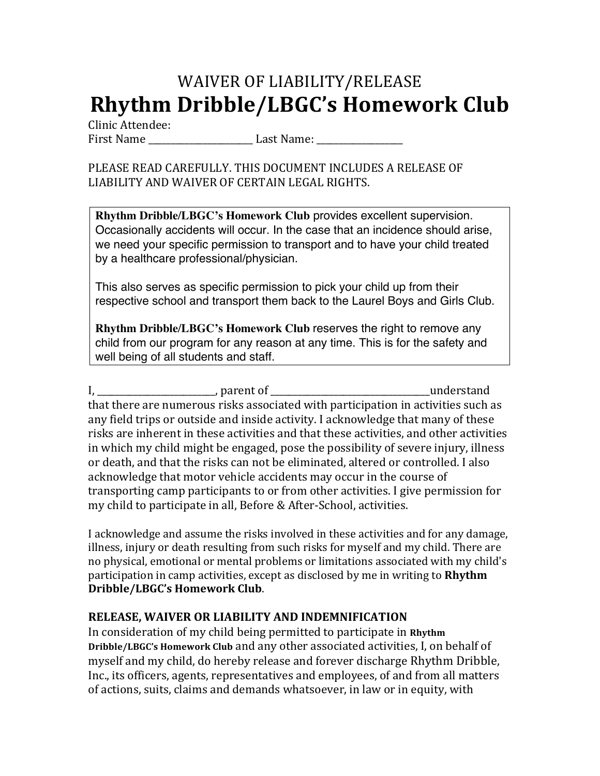## WAIVER OF LIABILITY/RELEASE **Rhythm Dribble/LBGC's Homework Club**

Clinic Attendee: 

First Name **Last Name**:

## PLEASE READ CAREFULLY. THIS DOCUMENT INCLUDES A RELEASE OF LIABILITY AND WAIVER OF CERTAIN LEGAL RIGHTS.

**Rhythm Dribble/LBGC's Homework Club** provides excellent supervision. Occasionally accidents will occur. In the case that an incidence should arise, we need your specific permission to transport and to have your child treated by a healthcare professional/physician.

This also serves as specific permission to pick your child up from their respective school and transport them back to the Laurel Boys and Girls Club.

**Rhythm Dribble/LBGC's Homework Club** reserves the right to remove any child from our program for any reason at any time. This is for the safety and well being of all students and staff.

I, \_\_\_\_\_\_\_\_\_\_\_\_\_\_\_\_\_\_\_\_\_\_\_\_\_\_, parent of \_\_\_\_\_\_\_\_\_\_\_\_\_\_\_\_\_\_\_\_\_\_\_\_\_\_\_\_\_\_\_\_\_\_\_understand that there are numerous risks associated with participation in activities such as any field trips or outside and inside activity. I acknowledge that many of these risks are inherent in these activities and that these activities, and other activities in which my child might be engaged, pose the possibility of severe injury, illness or death, and that the risks can not be eliminated, altered or controlled. I also acknowledge that motor vehicle accidents may occur in the course of transporting camp participants to or from other activities. I give permission for my child to participate in all, Before & After-School, activities.

I acknowledge and assume the risks involved in these activities and for any damage, illness, injury or death resulting from such risks for myself and my child. There are no physical, emotional or mental problems or limitations associated with my child's participation in camp activities, except as disclosed by me in writing to **Rhythm Dribble/LBGC's Homework Club**.

## **RELEASE, WAIVER OR LIABILITY AND INDEMNIFICATION**

In consideration of my child being permitted to participate in Rhythm **Dribble/LBGC's Homework Club** and any other associated activities, I, on behalf of myself and my child, do hereby release and forever discharge Rhythm Dribble, Inc., its officers, agents, representatives and employees, of and from all matters of actions, suits, claims and demands whatsoever, in law or in equity, with